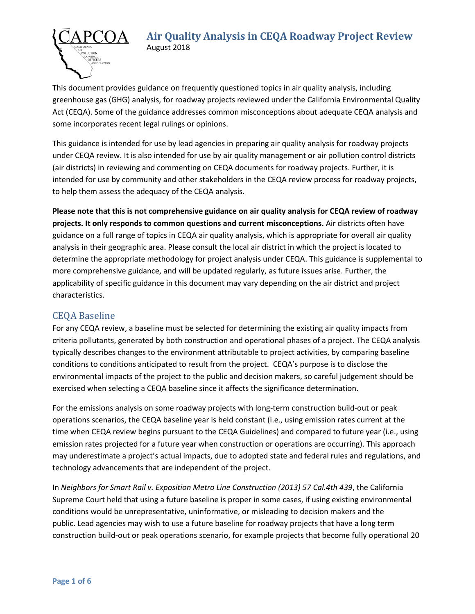#### **Air Quality Analysis in CEQA Roadway Project Review** August 2018



This document provides guidance on frequently questioned topics in air quality analysis, including greenhouse gas (GHG) analysis, for roadway projects reviewed under the California Environmental Quality Act (CEQA). Some of the guidance addresses common misconceptions about adequate CEQA analysis and some incorporates recent legal rulings or opinions.

This guidance is intended for use by lead agencies in preparing air quality analysis for roadway projects under CEQA review. It is also intended for use by air quality management or air pollution control districts (air districts) in reviewing and commenting on CEQA documents for roadway projects. Further, it is intended for use by community and other stakeholders in the CEQA review process for roadway projects, to help them assess the adequacy of the CEQA analysis.

**Please note that this is not comprehensive guidance on air quality analysis for CEQA review of roadway projects. It only responds to common questions and current misconceptions.** Air districts often have guidance on a full range of topics in CEQA air quality analysis, which is appropriate for overall air quality analysis in their geographic area. Please consult the local air district in which the project is located to determine the appropriate methodology for project analysis under CEQA. This guidance is supplemental to more comprehensive guidance, and will be updated regularly, as future issues arise. Further, the applicability of specific guidance in this document may vary depending on the air district and project characteristics.

## CEQA Baseline

For any CEQA review, a baseline must be selected for determining the existing air quality impacts from criteria pollutants, generated by both construction and operational phases of a project. The CEQA analysis typically describes changes to the environment attributable to project activities, by comparing baseline conditions to conditions anticipated to result from the project. CEQA's purpose is to disclose the environmental impacts of the project to the public and decision makers, so careful judgement should be exercised when selecting a CEQA baseline since it affects the significance determination.

For the emissions analysis on some roadway projects with long-term construction build-out or peak operations scenarios, the CEQA baseline year is held constant (i.e., using emission rates current at the time when CEQA review begins pursuant to the CEQA Guidelines) and compared to future year (i.e., using emission rates projected for a future year when construction or operations are occurring). This approach may underestimate a project's actual impacts, due to adopted state and federal rules and regulations, and technology advancements that are independent of the project.

In *Neighbors for Smart Rail v. Exposition Metro Line Construction (2013) 57 Cal.4th 439*, the California Supreme Court held that using a future baseline is proper in some cases, if using existing environmental conditions would be unrepresentative, uninformative, or misleading to decision makers and the public. Lead agencies may wish to use a future baseline for roadway projects that have a long term construction build-out or peak operations scenario, for example projects that become fully operational 20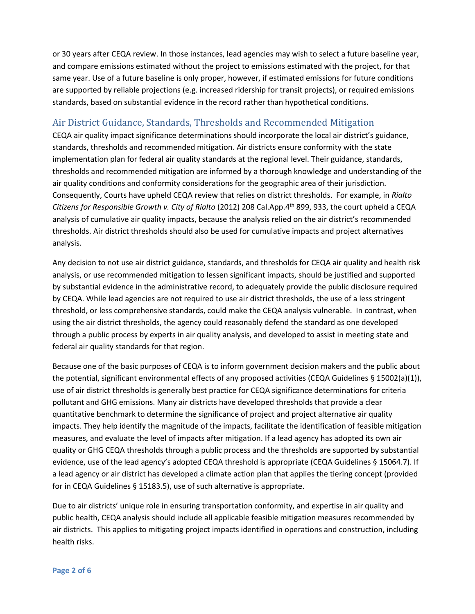or 30 years after CEQA review. In those instances, lead agencies may wish to select a future baseline year, and compare emissions estimated without the project to emissions estimated with the project, for that same year. Use of a future baseline is only proper, however, if estimated emissions for future conditions are supported by reliable projections (e.g. increased ridership for transit projects), or required emissions standards, based on substantial evidence in the record rather than hypothetical conditions.

#### Air District Guidance, Standards, Thresholds and Recommended Mitigation

CEQA air quality impact significance determinations should incorporate the local air district's guidance, standards, thresholds and recommended mitigation. Air districts ensure conformity with the state implementation plan for federal air quality standards at the regional level. Their guidance, standards, thresholds and recommended mitigation are informed by a thorough knowledge and understanding of the air quality conditions and conformity considerations for the geographic area of their jurisdiction. Consequently, Courts have upheld CEQA review that relies on district thresholds. For example, in *Rialto Citizens for Responsible Growth v. City of Rialto* (2012) 208 Cal.App.4th 899, 933, the court upheld a CEQA analysis of cumulative air quality impacts, because the analysis relied on the air district's recommended thresholds. Air district thresholds should also be used for cumulative impacts and project alternatives analysis.

Any decision to not use air district guidance, standards, and thresholds for CEQA air quality and health risk analysis, or use recommended mitigation to lessen significant impacts, should be justified and supported by substantial evidence in the administrative record, to adequately provide the public disclosure required by CEQA. While lead agencies are not required to use air district thresholds, the use of a less stringent threshold, or less comprehensive standards, could make the CEQA analysis vulnerable. In contrast, when using the air district thresholds, the agency could reasonably defend the standard as one developed through a public process by experts in air quality analysis, and developed to assist in meeting state and federal air quality standards for that region.

Because one of the basic purposes of CEQA is to inform government decision makers and the public about the potential, significant environmental effects of any proposed activities (CEQA Guidelines § 15002(a)(1)), use of air district thresholds is generally best practice for CEQA significance determinations for criteria pollutant and GHG emissions. Many air districts have developed thresholds that provide a clear quantitative benchmark to determine the significance of project and project alternative air quality impacts. They help identify the magnitude of the impacts, facilitate the identification of feasible mitigation measures, and evaluate the level of impacts after mitigation. If a lead agency has adopted its own air quality or GHG CEQA thresholds through a public process and the thresholds are supported by substantial evidence, use of the lead agency's adopted CEQA threshold is appropriate (CEQA Guidelines § 15064.7). If a lead agency or air district has developed a climate action plan that applies the tiering concept (provided for in CEQA Guidelines § 15183.5), use of such alternative is appropriate.

Due to air districts' unique role in ensuring transportation conformity, and expertise in air quality and public health, CEQA analysis should include all applicable feasible mitigation measures recommended by air districts. This applies to mitigating project impacts identified in operations and construction, including health risks.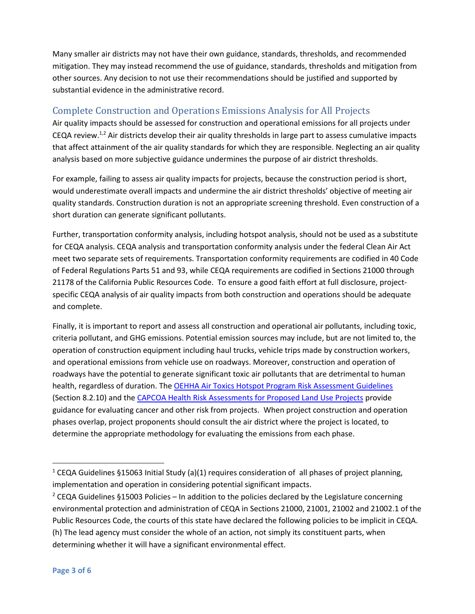Many smaller air districts may not have their own guidance, standards, thresholds, and recommended mitigation. They may instead recommend the use of guidance, standards, thresholds and mitigation from other sources. Any decision to not use their recommendations should be justified and supported by substantial evidence in the administrative record.

# Complete Construction and Operations Emissions Analysis for All Projects

Air quality impacts should be assessed for construction and operational emissions for all projects under CEQA review.<sup>1,2</sup> Air districts develop their air quality thresholds in large part to assess cumulative impacts that affect attainment of the air quality standards for which they are responsible. Neglecting an air quality analysis based on more subjective guidance undermines the purpose of air district thresholds.

For example, failing to assess air quality impacts for projects, because the construction period is short, would underestimate overall impacts and undermine the air district thresholds' objective of meeting air quality standards. Construction duration is not an appropriate screening threshold. Even construction of a short duration can generate significant pollutants.

Further, transportation conformity analysis, including hotspot analysis, should not be used as a substitute for CEQA analysis. CEQA analysis and transportation conformity analysis under the federal Clean Air Act meet two separate sets of requirements. Transportation conformity requirements are codified in 40 Code of Federal Regulations Parts 51 and 93, while CEQA requirements are codified in Sections 21000 through 21178 of the California Public Resources Code. To ensure a good faith effort at full disclosure, projectspecific CEQA analysis of air quality impacts from both construction and operations should be adequate and complete.

Finally, it is important to report and assess all construction and operational air pollutants, including toxic, criteria pollutant, and GHG emissions. Potential emission sources may include, but are not limited to, the operation of construction equipment including haul trucks, vehicle trips made by construction workers, and operational emissions from vehicle use on roadways. Moreover, construction and operation of roadways have the potential to generate significant toxic air pollutants that are detrimental to human health, regardless of duration. The [OEHHA Air Toxics Hotspot Program Risk Assessment Guidelines](https://oehha.ca.gov/media/downloads/crnr/2015guidancemanual.pdf) (Section 8.2.10) and th[e CAPCOA Health Risk Assessments for Proposed Land Use Projects](http://www.capcoa.org/wp-content/uploads/2012/03/CAPCOA_HRA_LU_Guidelines_8-6-09.pdf) provide guidance for evaluating cancer and other risk from projects. When project construction and operation phases overlap, project proponents should consult the air district where the project is located, to determine the appropriate methodology for evaluating the emissions from each phase.

<sup>&</sup>lt;sup>1</sup> CEQA Guidelines §15063 Initial Study (a)(1) requires consideration of all phases of project planning, implementation and operation in considering potential significant impacts.

<sup>&</sup>lt;sup>2</sup> CEQA Guidelines §15003 Policies – In addition to the policies declared by the Legislature concerning environmental protection and administration of CEQA in Sections 21000, 21001, 21002 and 21002.1 of the Public Resources Code, the courts of this state have declared the following policies to be implicit in CEQA. (h) The lead agency must consider the whole of an action, not simply its constituent parts, when determining whether it will have a significant environmental effect.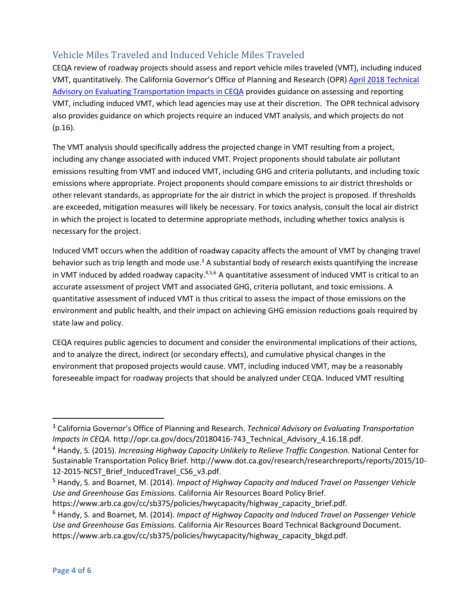# Vehicle Miles Traveled and Induced Vehicle Miles Traveled

CEQA review of roadway projects should assess and report vehicle miles traveled (VMT), including induced VMT, quantitatively. The California Governor's Office of Planning and Research (OPR) [April 2018](http://opr.ca.gov/docs/20180416-743_Technical_Advisory_4.16.18.pdf) Technical [Advisory on Evaluating Transportation Impacts in CEQA](http://opr.ca.gov/docs/20180416-743_Technical_Advisory_4.16.18.pdf) provides guidance on assessing and reporting VMT, including induced VMT, which lead agencies may use at their discretion. The OPR technical advisory also provides guidance on which projects require an induced VMT analysis, and which projects do not (p.16).

The VMT analysis should specifically address the projected change in VMT resulting from a project, including any change associated with induced VMT. Project proponents should tabulate air pollutant emissions resulting from VMT and induced VMT, including GHG and criteria pollutants, and including toxic emissions where appropriate. Project proponents should compare emissions to air district thresholds or other relevant standards, as appropriate for the air district in which the project is proposed. If thresholds are exceeded, mitigation measures will likely be necessary. For toxics analysis, consult the local air district in which the project is located to determine appropriate methods, including whether toxics analysis is necessary for the project.

Induced VMT occurs when the addition of roadway capacity affects the amount of VMT by changing travel behavior such as trip length and mode use.<sup>3</sup> A substantial body of research exists quantifying the increase in VMT induced by added roadway capacity.<sup>4,5,6</sup> A quantitative assessment of induced VMT is critical to an accurate assessment of project VMT and associated GHG, criteria pollutant, and toxic emissions. A quantitative assessment of induced VMT is thus critical to assess the impact of those emissions on the environment and public health, and their impact on achieving GHG emission reductions goals required by state law and policy.

CEQA requires public agencies to document and consider the environmental implications of their actions, and to analyze the direct, indirect (or secondary effects), and cumulative physical changes in the environment that proposed projects would cause. VMT, including induced VMT, may be a reasonably foreseeable impact for roadway projects that should be analyzed under CEQA. Induced VMT resulting

https://www.arb.ca.gov/cc/sb375/policies/hwycapacity/highway\_capacity\_brief.pdf.

<sup>3</sup> California Governor's Office of Planning and Research. *Technical Advisory on Evaluating Transportation Impacts in CEQA.* [http://opr.ca.gov/docs/20180416-743\\_Technical\\_Advisory\\_4.16.18.pdf.](http://opr.ca.gov/docs/20171127_Transportation_Analysis_TA_Nov_2017.pdf)

<sup>4</sup> Handy, S. (2015). *Increasing Highway Capacity Unlikely to Relieve Traffic Congestion.* National Center for Sustainable Transportation Policy Brief. http://www.dot.ca.gov/research/researchreports/reports/2015/10- 12-2015-NCST\_Brief\_InducedTravel\_CS6\_v3.pdf.

<sup>5</sup> Handy, S. and Boarnet, M. (2014). *Impact of Highway Capacity and Induced Travel on Passenger Vehicle Use and Greenhouse Gas Emissions.* California Air Resources Board Policy Brief.

<sup>6</sup> Handy, S. and Boarnet, M. (2014). *Impact of Highway Capacity and Induced Travel on Passenger Vehicle Use and Greenhouse Gas Emissions.* California Air Resources Board Technical Background Document. https://www.arb.ca.gov/cc/sb375/policies/hwycapacity/highway\_capacity\_bkgd.pdf.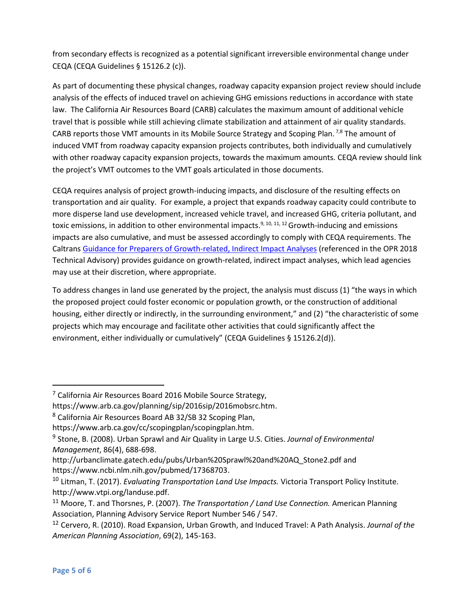from secondary effects is recognized as a potential significant irreversible environmental change under CEQA (CEQA Guidelines § 15126.2 (c)).

As part of documenting these physical changes, roadway capacity expansion project review should include analysis of the effects of induced travel on achieving GHG emissions reductions in accordance with state law. The California Air Resources Board (CARB) calculates the maximum amount of additional vehicle travel that is possible while still achieving climate stabilization and attainment of air quality standards. CARB reports those VMT amounts in its Mobile Source Strategy and Scoping Plan.  $^{7,8}$  The amount of induced VMT from roadway capacity expansion projects contributes, both individually and cumulatively with other roadway capacity expansion projects, towards the maximum amounts. CEQA review should link the project's VMT outcomes to the VMT goals articulated in those documents.

CEQA requires analysis of project growth-inducing impacts, and disclosure of the resulting effects on transportation and air quality. For example, a project that expands roadway capacity could contribute to more disperse land use development, increased vehicle travel, and increased GHG, criteria pollutant, and toxic emissions, in addition to other environmental impacts.<sup>9, 10, 11, 12</sup> Growth-inducing and emissions impacts are also cumulative, and must be assessed accordingly to comply with CEQA requirements. The Caltran[s Guidance for Preparers of Growth-related, Indirect Impact Analyses](http://www.dot.ca.gov/ser/Growth-related_IndirectImpactAnalysis/GRI_guidance06May_files/gri_guidance.pdf) (referenced in the OPR 2018 Technical Advisory) provides guidance on growth-related, indirect impact analyses, which lead agencies may use at their discretion, where appropriate.

To address changes in land use generated by the project, the analysis must discuss (1) "the ways in which the proposed project could foster economic or population growth, or the construction of additional housing, either directly or indirectly, in the surrounding environment," and (2) "the characteristic of some projects which may encourage and facilitate other activities that could significantly affect the environment, either individually or cumulatively" (CEQA Guidelines § 15126.2(d)).

 $7$  California Air Resources Board 2016 Mobile Source Strategy,

https://www.arb.ca.gov/planning/sip/2016sip/2016mobsrc.htm.

<sup>8</sup> California Air Resources Board AB 32/SB 32 Scoping Plan,

https://www.arb.ca.gov/cc/scopingplan/scopingplan.htm.

<sup>9</sup> Stone, B. (2008). Urban Sprawl and Air Quality in Large U.S. Cities. *Journal of Environmental Management*, 86(4), 688-698.

[http://urbanclimate.gatech.edu/pubs/Urban%20Sprawl%20and%20AQ\\_Stone2.pdf](http://urbanclimate.gatech.edu/pubs/Urban%20Sprawl%20and%20AQ_Stone2.pdf) and [https://www.ncbi.nlm.nih.gov/pubmed/17368703.](https://www.ncbi.nlm.nih.gov/pubmed/17368703)

<sup>10</sup> Litman, T. (2017). *Evaluating Transportation Land Use Impacts.* Victoria Transport Policy Institute. http://www.vtpi.org/landuse.pdf.

<sup>11</sup> Moore, T. and Thorsnes, P. (2007). *The Transportation / Land Use Connection.* American Planning Association, Planning Advisory Service Report Number 546 / 547.

<sup>12</sup> Cervero, R. (2010). Road Expansion, Urban Growth, and Induced Travel: A Path Analysis. *Journal of the American Planning Association*, 69(2), 145-163.